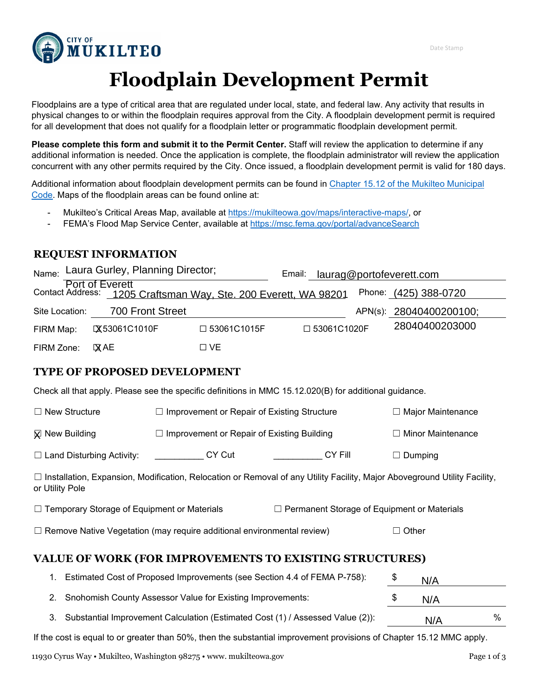

# **Floodplain Development Permit**

Floodplains are a type of critical area that are regulated under local, state, and federal law. Any activity that results in physical changes to or within the floodplain requires approval from the City. A floodplain development permit is required for all development that does not qualify for a floodplain letter or programmatic floodplain development permit.

**Please complete this form and submit it to the Permit Center.** Staff will review the application to determine if any additional information is needed. Once the application is complete, the floodplain administrator will review the application concurrent with any other permits required by the City. Once issued, a floodplain development permit is valid for 180 days.

Additional information about floodplain development permits can be found in [Chapter 15.12 of the Mukilteo Municipal](https://www.codepublishing.com/WA/Mukilteo/#!/Mukilteo15/Mukilteo1512.html)  [Code.](https://www.codepublishing.com/WA/Mukilteo/#!/Mukilteo15/Mukilteo1512.html) Maps of the floodplain areas can be found online at:

- Mukilteo's Critical Areas Map, available at [https://mukilteowa.gov/maps/interactive-maps/,](https://mukilteowa.gov/maps/interactive-maps/) or
- FEMA's Flood Map Service Center, available at<https://msc.fema.gov/portal/advanceSearch>

## **REQUEST INFORMATION**

| Laura Gurley, Planning Director;<br>Name:                                            |                                                    |                          | Email:                                                                                                                      | laurag@portofeverett.com |                                                    |              |                          |                          |  |
|--------------------------------------------------------------------------------------|----------------------------------------------------|--------------------------|-----------------------------------------------------------------------------------------------------------------------------|--------------------------|----------------------------------------------------|--------------|--------------------------|--------------------------|--|
| Contact Address:                                                                     | Port of Everett                                    |                          | 1205 Craftsman Way, Ste. 200 Everett, WA 98201                                                                              |                          |                                                    |              |                          | Phone: (425) 388-0720    |  |
| Site Location:                                                                       | 700 Front Street                                   |                          |                                                                                                                             |                          |                                                    |              |                          | APN(s): 28040400200100;  |  |
| FIRM Map:                                                                            | <b>IX53061C1010F</b>                               |                          | □ 53061C1015F                                                                                                               |                          | □ 53061C1020F                                      |              |                          | 28040400203000           |  |
| FIRM Zone:                                                                           | <b>XAE</b>                                         |                          | $\Box$ VE                                                                                                                   |                          |                                                    |              |                          |                          |  |
|                                                                                      | <b>TYPE OF PROPOSED DEVELOPMENT</b>                |                          |                                                                                                                             |                          |                                                    |              |                          |                          |  |
|                                                                                      |                                                    |                          | Check all that apply. Please see the specific definitions in MMC 15.12.020(B) for additional guidance.                      |                          |                                                    |              |                          |                          |  |
| $\Box$ New Structure                                                                 |                                                    |                          | $\Box$ Improvement or Repair of Existing Structure                                                                          |                          |                                                    |              | $\Box$ Major Maintenance |                          |  |
| <b>X</b> New Building                                                                |                                                    |                          | $\Box$ Improvement or Repair of Existing Building                                                                           |                          |                                                    |              |                          | $\Box$ Minor Maintenance |  |
|                                                                                      | $\Box$ Land Disturbing Activity:                   | <b>Example 25 CY Cut</b> |                                                                                                                             |                          | CY Fill                                            |              | $\Box$ Dumping           |                          |  |
| or Utility Pole                                                                      |                                                    |                          | □ Installation, Expansion, Modification, Relocation or Removal of any Utility Facility, Major Aboveground Utility Facility, |                          |                                                    |              |                          |                          |  |
|                                                                                      | $\Box$ Temporary Storage of Equipment or Materials |                          |                                                                                                                             |                          | $\Box$ Permanent Storage of Equipment or Materials |              |                          |                          |  |
| $\Box$ Remove Native Vegetation (may require additional environmental review)        |                                                    |                          |                                                                                                                             |                          |                                                    | $\Box$ Other |                          |                          |  |
|                                                                                      |                                                    |                          | VALUE OF WORK (FOR IMPROVEMENTS TO EXISTING STRUCTURES)                                                                     |                          |                                                    |              |                          |                          |  |
|                                                                                      |                                                    |                          | Estimated Cost of Proposed Improvements (see Section 4.4 of FEMA P-758):                                                    |                          |                                                    |              | \$                       | N/A                      |  |
| Snohomish County Assessor Value for Existing Improvements:<br>2.                     |                                                    |                          |                                                                                                                             |                          | \$                                                 | N/A          |                          |                          |  |
| Substantial Improvement Calculation (Estimated Cost (1) / Assessed Value (2)):<br>3. |                                                    |                          |                                                                                                                             |                          |                                                    |              | N/A                      | $\%$                     |  |

| $\Box$ New Structure             | $\Box$ Improvement or Repair of Existing Structure | $\Box$ Major Maintenance |                          |
|----------------------------------|----------------------------------------------------|--------------------------|--------------------------|
| <b>X</b> New Building            | $\Box$ Improvement or Repair of Existing Building  |                          | $\Box$ Minor Maintenance |
| $\Box$ Land Disturbing Activity: | CY Cut                                             | CY Fill                  | $\Box$ Dumping           |

| □ Temporary Storage of Equipment or Materials | □ Permanent Storage of Equipment or Materials |
|-----------------------------------------------|-----------------------------------------------|
|-----------------------------------------------|-----------------------------------------------|

# **VALUE OF WORK (FOR IMPROVEMENTS TO EXISTING STRUCTURES)**

| Estimated Cost of Proposed Improvements (see Section 4.4 of FEMA P-758):          | N/A |      |
|-----------------------------------------------------------------------------------|-----|------|
| 2. Snohomish County Assessor Value for Existing Improvements:                     | N/A |      |
| 3. Substantial Improvement Calculation (Estimated Cost (1) / Assessed Value (2)): | N/A | $\%$ |

If the cost is equal to or greater than 50%, then the substantial improvement provisions of Chapter 15.12 MMC apply.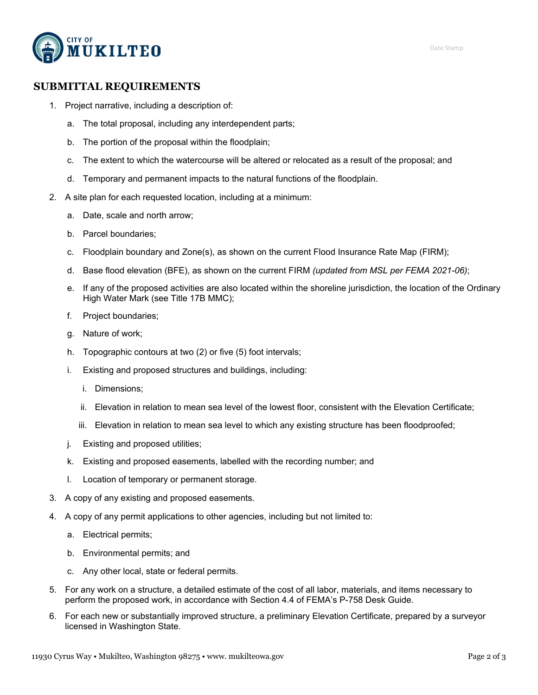

## **SUBMITTAL REQUIREMENTS**

- 1. Project narrative, including a description of:
	- a. The total proposal, including any interdependent parts;
	- b. The portion of the proposal within the floodplain;
	- c. The extent to which the watercourse will be altered or relocated as a result of the proposal; and
	- d. Temporary and permanent impacts to the natural functions of the floodplain.
- 2. A site plan for each requested location, including at a minimum:
	- a. Date, scale and north arrow;
	- b. Parcel boundaries;
	- c. Floodplain boundary and Zone(s), as shown on the current Flood Insurance Rate Map (FIRM);
	- d. Base flood elevation (BFE), as shown on the current FIRM *(updated from MSL per FEMA 2021-06)*;
	- e. If any of the proposed activities are also located within the shoreline jurisdiction, the location of the Ordinary High Water Mark (see Title 17B MMC);
	- f. Project boundaries;
	- g. Nature of work;
	- h. Topographic contours at two (2) or five (5) foot intervals;
	- i. Existing and proposed structures and buildings, including:
		- i. Dimensions;
		- ii. Elevation in relation to mean sea level of the lowest floor, consistent with the Elevation Certificate;
		- iii. Elevation in relation to mean sea level to which any existing structure has been floodproofed;
	- j. Existing and proposed utilities;
	- k. Existing and proposed easements, labelled with the recording number; and
	- l. Location of temporary or permanent storage.
- 3. A copy of any existing and proposed easements.
- 4. A copy of any permit applications to other agencies, including but not limited to:
	- a. Electrical permits;
	- b. Environmental permits; and
	- c. Any other local, state or federal permits.
- 5. For any work on a structure, a detailed estimate of the cost of all labor, materials, and items necessary to perform the proposed work, in accordance with Section 4.4 of FEMA's P-758 Desk Guide.
- 6. For each new or substantially improved structure, a preliminary Elevation Certificate, prepared by a surveyor licensed in Washington State.